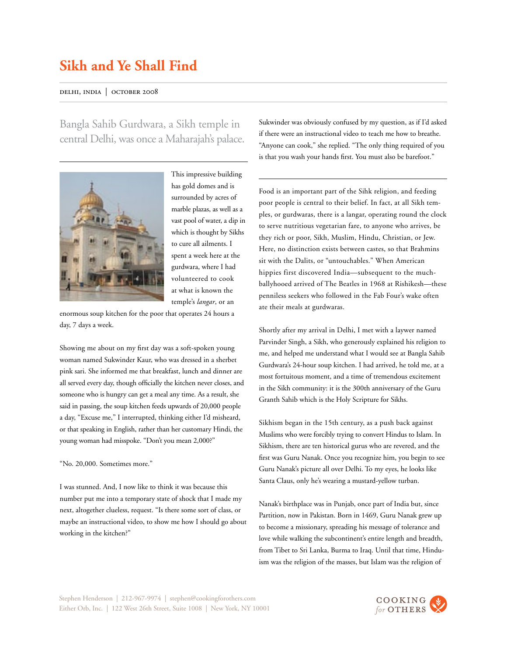#### delhi, india | october 2008

Bangla Sahib Gurdwara, a Sikh temple in central Delhi, was once a Maharajah's palace.



This impressive building has gold domes and is surrounded by acres of marble plazas, as well as a vast pool of water, a dip in which is thought by Sikhs to cure all ailments. I spent a week here at the gurdwara, where I had volunteered to cook at what is known the temple's *langar*, or an

enormous soup kitchen for the poor that operates 24 hours a day, 7 days a week.

Showing me about on my first day was a soft-spoken young woman named Sukwinder Kaur, who was dressed in a sherbet pink sari. She informed me that breakfast, lunch and dinner are all served every day, though officially the kitchen never closes, and someone who is hungry can get a meal any time. As a result, she said in passing, the soup kitchen feeds upwards of 20,000 people a day, "Excuse me," I interrupted, thinking either I'd misheard, or that speaking in English, rather than her customary Hindi, the young woman had misspoke. "Don't you mean 2,000?"

#### "No. 20,000. Sometimes more."

I was stunned. And, I now like to think it was because this number put me into a temporary state of shock that I made my next, altogether clueless, request. "Is there some sort of class, or maybe an instructional video, to show me how I should go about working in the kitchen?"

Sukwinder was obviously confused by my question, as if I'd asked if there were an instructional video to teach me how to breathe. "Anyone can cook," she replied. "The only thing required of you is that you wash your hands first. You must also be barefoot."

Food is an important part of the Sihk religion, and feeding poor people is central to their belief. In fact, at all Sikh temples, or gurdwaras, there is a langar, operating round the clock to serve nutritious vegetarian fare, to anyone who arrives, be they rich or poor, Sikh, Muslim, Hindu, Christian, or Jew. Here, no distinction exists between castes, so that Brahmins sit with the Dalits, or "untouchables." When American hippies first discovered India—subsequent to the muchballyhooed arrived of The Beatles in 1968 at Rishikesh—these penniless seekers who followed in the Fab Four's wake often ate their meals at gurdwaras.

Shortly after my arrival in Delhi, I met with a laywer named Parvinder Singh, a Sikh, who generously explained his religion to me, and helped me understand what I would see at Bangla Sahib Gurdwara's 24-hour soup kitchen. I had arrived, he told me, at a most fortuitous moment, and a time of tremendous excitement in the Sikh community: it is the 300th anniversary of the Guru Granth Sahib which is the Holy Scripture for Sikhs.

Sikhism began in the 15th century, as a push back against Muslims who were forcibly trying to convert Hindus to Islam. In Sikhism, there are ten historical gurus who are revered, and the first was Guru Nanak. Once you recognize him, you begin to see Guru Nanak's picture all over Delhi. To my eyes, he looks like Santa Claus, only he's wearing a mustard-yellow turban.

Nanak's birthplace was in Punjab, once part of India but, since Partition, now in Pakistan. Born in 1469, Guru Nanak grew up to become a missionary, spreading his message of tolerance and love while walking the subcontinent's entire length and breadth, from Tibet to Sri Lanka, Burma to Iraq. Until that time, Hinduism was the religion of the masses, but Islam was the religion of

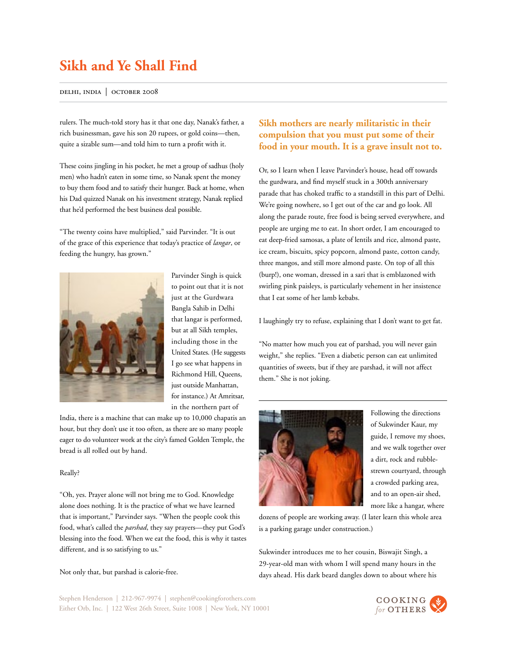delhi, india | october 2008

rulers. The much-told story has it that one day, Nanak's father, a rich businessman, gave his son 20 rupees, or gold coins—then, quite a sizable sum—and told him to turn a profit with it.

These coins jingling in his pocket, he met a group of sadhus (holy men) who hadn't eaten in some time, so Nanak spent the money to buy them food and to satisfy their hunger. Back at home, when his Dad quizzed Nanak on his investment strategy, Nanak replied that he'd performed the best business deal possible.

"The twenty coins have multiplied," said Parvinder. "It is out of the grace of this experience that today's practice of *langar*, or feeding the hungry, has grown."



Parvinder Singh is quick to point out that it is not just at the Gurdwara Bangla Sahib in Delhi that langar is performed, but at all Sikh temples, including those in the United States. (He suggests I go see what happens in Richmond Hill, Queens, just outside Manhattan, for instance.) At Amritsar, in the northern part of

India, there is a machine that can make up to 10,000 chapatis an hour, but they don't use it too often, as there are so many people eager to do volunteer work at the city's famed Golden Temple, the bread is all rolled out by hand.

#### Really?

"Oh, yes. Prayer alone will not bring me to God. Knowledge alone does nothing. It is the practice of what we have learned that is important," Parvinder says. "When the people cook this food, what's called the *parshad*, they say prayers—they put God's blessing into the food. When we eat the food, this is why it tastes different, and is so satisfying to us."

### Not only that, but parshad is calorie-free.

**Sikh mothers are nearly militaristic in their compulsion that you must put some of their food in your mouth. It is a grave insult not to.** 

Or, so I learn when I leave Parvinder's house, head off towards the gurdwara, and find myself stuck in a 300th anniversary parade that has choked traffic to a standstill in this part of Delhi. We're going nowhere, so I get out of the car and go look. All along the parade route, free food is being served everywhere, and people are urging me to eat. In short order, I am encouraged to eat deep-fried samosas, a plate of lentils and rice, almond paste, ice cream, biscuits, spicy popcorn, almond paste, cotton candy, three mangos, and still more almond paste. On top of all this (burp!), one woman, dressed in a sari that is emblazoned with swirling pink paisleys, is particularly vehement in her insistence that I eat some of her lamb kebabs.

I laughingly try to refuse, explaining that I don't want to get fat.

"No matter how much you eat of parshad, you will never gain weight," she replies. "Even a diabetic person can eat unlimited quantities of sweets, but if they are parshad, it will not affect them." She is not joking.



Following the directions of Sukwinder Kaur, my guide, I remove my shoes, and we walk together over a dirt, rock and rubblestrewn courtyard, through a crowded parking area, and to an open-air shed, more like a hangar, where

dozens of people are working away. (I later learn this whole area is a parking garage under construction.)

Sukwinder introduces me to her cousin, Biswajit Singh, a 29-year-old man with whom I will spend many hours in the days ahead. His dark beard dangles down to about where his

Stephen Henderson | 212-967-9974 | stephen@cookingforothers.com Either Orb, Inc. | 122 West 26th Street, Suite 1008 | New York, NY 10001

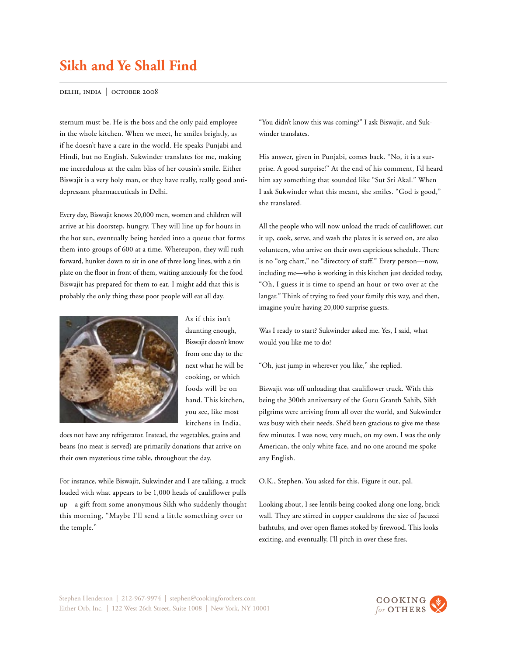#### delhi, india | october 2008

sternum must be. He is the boss and the only paid employee in the whole kitchen. When we meet, he smiles brightly, as if he doesn't have a care in the world. He speaks Punjabi and Hindi, but no English. Sukwinder translates for me, making me incredulous at the calm bliss of her cousin's smile. Either Biswajit is a very holy man, or they have really, really good antidepressant pharmaceuticals in Delhi.

Every day, Biswajit knows 20,000 men, women and children will arrive at his doorstep, hungry. They will line up for hours in the hot sun, eventually being herded into a queue that forms them into groups of 600 at a time. Whereupon, they will rush forward, hunker down to sit in one of three long lines, with a tin plate on the floor in front of them, waiting anxiously for the food Biswajit has prepared for them to eat. I might add that this is probably the only thing these poor people will eat all day.



As if this isn't daunting enough, Biswajit doesn't know from one day to the next what he will be cooking, or which foods will be on hand. This kitchen, you see, like most kitchens in India,

does not have any refrigerator. Instead, the vegetables, grains and beans (no meat is served) are primarily donations that arrive on their own mysterious time table, throughout the day.

For instance, while Biswajit, Sukwinder and I are talking, a truck loaded with what appears to be 1,000 heads of cauliflower pulls up—a gift from some anonymous Sikh who suddenly thought this morning, "Maybe I'll send a little something over to the temple."

"You didn't know this was coming?" I ask Biswajit, and Sukwinder translates.

His answer, given in Punjabi, comes back. "No, it is a surprise. A good surprise!" At the end of his comment, I'd heard him say something that sounded like "Sut Sri Akal." When I ask Sukwinder what this meant, she smiles. "God is good," she translated.

All the people who will now unload the truck of cauliflower, cut it up, cook, serve, and wash the plates it is served on, are also volunteers, who arrive on their own capricious schedule. There is no "org chart," no "directory of staff." Every person—now, including me—who is working in this kitchen just decided today, "Oh, I guess it is time to spend an hour or two over at the langar." Think of trying to feed your family this way, and then, imagine you're having 20,000 surprise guests.

Was I ready to start? Sukwinder asked me. Yes, I said, what would you like me to do?

"Oh, just jump in wherever you like," she replied.

Biswajit was off unloading that cauliflower truck. With this being the 300th anniversary of the Guru Granth Sahib, Sikh pilgrims were arriving from all over the world, and Sukwinder was busy with their needs. She'd been gracious to give me these few minutes. I was now, very much, on my own. I was the only American, the only white face, and no one around me spoke any English.

O.K., Stephen. You asked for this. Figure it out, pal.

Looking about, I see lentils being cooked along one long, brick wall. They are stirred in copper cauldrons the size of Jacuzzi bathtubs, and over open flames stoked by firewood. This looks exciting, and eventually, I'll pitch in over these fires.

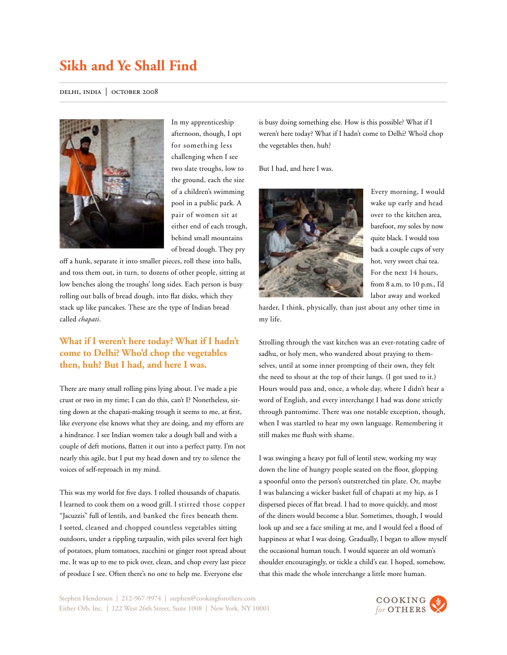#### delhi, india | october 2008



In my apprenticeship afternoon, though, I opt for something less challenging when I see two slate troughs, low to the ground, each the size of a children's swimming pool in a public park. A pair of women sit at either end of each trough, behind small mountains of bread dough. They pry

off a hunk, separate it into smaller pieces, roll these into balls, and toss them out, in turn, to dozens of other people, sitting at low benches along the troughs' long sides. Each person is busy rolling out balls of bread dough, into flat disks, which they stack up like pancakes. These are the type of Indian bread called *chapati*.

### **What if I weren't here today? What if I hadn't come to Delhi? Who'd chop the vegetables then, huh? But I had, and here I was.**

There are many small rolling pins lying about. I've made a pie crust or two in my time; I can do this, can't I? Nonetheless, sitting down at the chapati-making trough it seems to me, at first, like everyone else knows what they are doing, and my efforts are a hindrance. I see Indian women take a dough ball and with a couple of deft motions, flatten it out into a perfect patty. I'm not nearly this agile, but I put my head down and try to silence the voices of self-reproach in my mind.

This was my world for five days. I rolled thousands of chapatis. I learned to cook them on a wood grill. I stirred those copper "Jacuzzis" full of lentils, and banked the fires beneath them. I sorted, cleaned and chopped countless vegetables sitting outdoors, under a rippling tarpaulin, with piles several feet high of potatoes, plum tomatoes, zucchini or ginger root spread about me. It was up to me to pick over, clean, and chop every last piece of produce I see. Often there's no one to help me. Everyone else

is busy doing something else. How is this possible? What if I weren't here today? What if I hadn't come to Delhi? Who'd chop the vegetables then, huh?

But I had, and here I was.



Every morning, I would wake up early and head over to the kitchen area, barefoot, my soles by now quite black. I would toss back a couple cups of very hot, very sweet chai tea. For the next 14 hours, from 8 a.m. to 10 p.m., I'd labor away and worked

harder, I think, physically, than just about any other time in my life.

Strolling through the vast kitchen was an ever-rotating cadre of sadhu, or holy men, who wandered about praying to themselves, until at some inner prompting of their own, they felt the need to shout at the top of their lungs. (I got used to it.) Hours would pass and, once, a whole day, where I didn't hear a word of English, and every interchange I had was done strictly through pantomime. There was one notable exception, though, when I was startled to hear my own language. Remembering it still makes me flush with shame.

I was swinging a heavy pot full of lentil stew, working my way down the line of hungry people seated on the floor, glopping a spoonful onto the person's outstretched tin plate. Or, maybe I was balancing a wicker basket full of chapati at my hip, as I dispersed pieces of flat bread. I had to move quickly, and most of the diners would become a blur. Sometimes, though, I would look up and see a face smiling at me, and I would feel a flood of happiness at what I was doing. Gradually, I began to allow myself the occasional human touch. I would squeeze an old woman's shoulder encouragingly, or tickle a child's ear. I hoped, somehow, that this made the whole interchange a little more human.

Stephen Henderson | 212-967-9974 | stephen@cookingforothers.com Either Orb, Inc. | 122 West 26th Street, Suite 1008 | New York, NY 10001